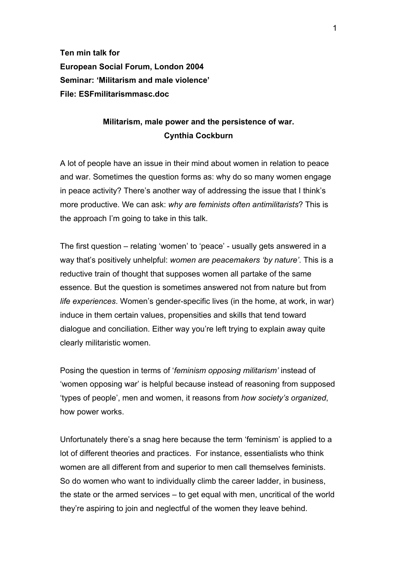**Ten min talk for European Social Forum, London 2004 Seminar: 'Militarism and male violence' File: ESFmilitarismmasc.doc** 

## **Militarism, male power and the persistence of war. Cynthia Cockburn**

A lot of people have an issue in their mind about women in relation to peace and war. Sometimes the question forms as: why do so many women engage in peace activity? There's another way of addressing the issue that I think's more productive. We can ask: *why are feminists often antimilitarists*? This is the approach I'm going to take in this talk.

The first question – relating 'women' to 'peace' - usually gets answered in a way that's positively unhelpful: *women are peacemakers 'by nature'*. This is a reductive train of thought that supposes women all partake of the same essence. But the question is sometimes answered not from nature but from *life experiences*. Women's gender-specific lives (in the home, at work, in war) induce in them certain values, propensities and skills that tend toward dialogue and conciliation. Either way you're left trying to explain away quite clearly militaristic women.

Posing the question in terms of '*feminism opposing militarism'* instead of 'women opposing war' is helpful because instead of reasoning from supposed 'types of people', men and women, it reasons from *how society's organized*, how power works.

Unfortunately there's a snag here because the term 'feminism' is applied to a lot of different theories and practices. For instance, essentialists who think women are all different from and superior to men call themselves feminists. So do women who want to individually climb the career ladder, in business, the state or the armed services – to get equal with men, uncritical of the world they're aspiring to join and neglectful of the women they leave behind.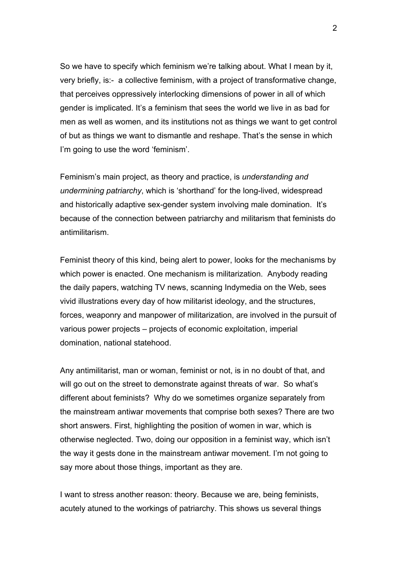So we have to specify which feminism we're talking about. What I mean by it, very briefly, is:- a collective feminism, with a project of transformative change, that perceives oppressively interlocking dimensions of power in all of which gender is implicated. It's a feminism that sees the world we live in as bad for men as well as women, and its institutions not as things we want to get control of but as things we want to dismantle and reshape. That's the sense in which I'm going to use the word 'feminism'.

Feminism's main project, as theory and practice, is *understanding and undermining patriarchy*, which is 'shorthand' for the long-lived, widespread and historically adaptive sex-gender system involving male domination. It's because of the connection between patriarchy and militarism that feminists do antimilitarism.

Feminist theory of this kind, being alert to power, looks for the mechanisms by which power is enacted. One mechanism is militarization. Anybody reading the daily papers, watching TV news, scanning Indymedia on the Web, sees vivid illustrations every day of how militarist ideology, and the structures, forces, weaponry and manpower of militarization, are involved in the pursuit of various power projects – projects of economic exploitation, imperial domination, national statehood.

Any antimilitarist, man or woman, feminist or not, is in no doubt of that, and will go out on the street to demonstrate against threats of war. So what's different about feminists? Why do we sometimes organize separately from the mainstream antiwar movements that comprise both sexes? There are two short answers. First, highlighting the position of women in war, which is otherwise neglected. Two, doing our opposition in a feminist way, which isn't the way it gests done in the mainstream antiwar movement. I'm not going to say more about those things, important as they are.

I want to stress another reason: theory. Because we are, being feminists, acutely atuned to the workings of patriarchy. This shows us several things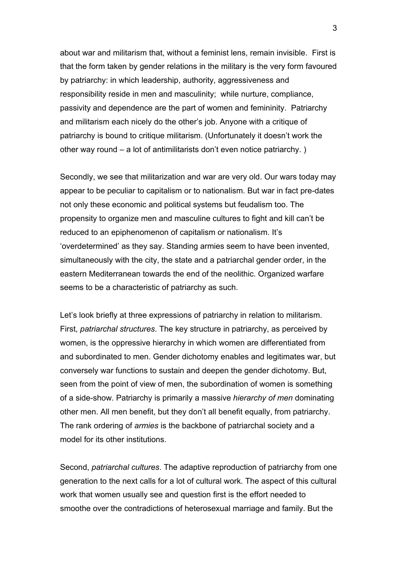about war and militarism that, without a feminist lens, remain invisible. First is that the form taken by gender relations in the military is the very form favoured by patriarchy: in which leadership, authority, aggressiveness and responsibility reside in men and masculinity; while nurture, compliance, passivity and dependence are the part of women and femininity. Patriarchy and militarism each nicely do the other's job. Anyone with a critique of patriarchy is bound to critique militarism. (Unfortunately it doesn't work the other way round – a lot of antimilitarists don't even notice patriarchy. )

Secondly, we see that militarization and war are very old. Our wars today may appear to be peculiar to capitalism or to nationalism. But war in fact pre-dates not only these economic and political systems but feudalism too. The propensity to organize men and masculine cultures to fight and kill can't be reduced to an epiphenomenon of capitalism or nationalism. It's 'overdetermined' as they say. Standing armies seem to have been invented, simultaneously with the city, the state and a patriarchal gender order, in the eastern Mediterranean towards the end of the neolithic. Organized warfare seems to be a characteristic of patriarchy as such.

Let's look briefly at three expressions of patriarchy in relation to militarism. First, *patriarchal structures*. The key structure in patriarchy, as perceived by women, is the oppressive hierarchy in which women are differentiated from and subordinated to men. Gender dichotomy enables and legitimates war, but conversely war functions to sustain and deepen the gender dichotomy. But, seen from the point of view of men, the subordination of women is something of a side-show. Patriarchy is primarily a massive *hierarchy of men* dominating other men. All men benefit, but they don't all benefit equally, from patriarchy. The rank ordering of *armies* is the backbone of patriarchal society and a model for its other institutions.

Second, *patriarchal cultures*. The adaptive reproduction of patriarchy from one generation to the next calls for a lot of cultural work. The aspect of this cultural work that women usually see and question first is the effort needed to smoothe over the contradictions of heterosexual marriage and family. But the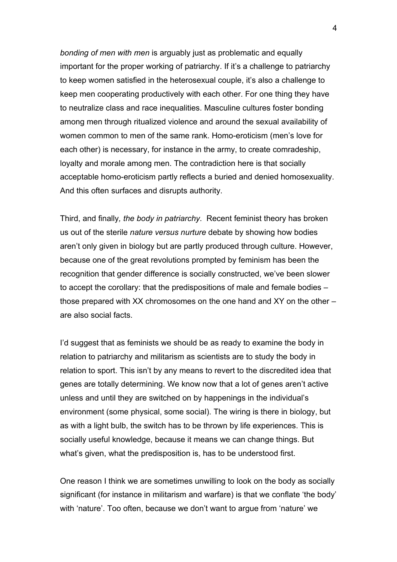*bonding of men with men* is arguably just as problematic and equally important for the proper working of patriarchy. If it's a challenge to patriarchy to keep women satisfied in the heterosexual couple, it's also a challenge to keep men cooperating productively with each other. For one thing they have to neutralize class and race inequalities. Masculine cultures foster bonding among men through ritualized violence and around the sexual availability of women common to men of the same rank. Homo-eroticism (men's love for each other) is necessary, for instance in the army, to create comradeship, loyalty and morale among men. The contradiction here is that socially acceptable homo-eroticism partly reflects a buried and denied homosexuality. And this often surfaces and disrupts authority.

Third, and finally*, the body in patriarchy*. Recent feminist theory has broken us out of the sterile *nature versus nurture* debate by showing how bodies aren't only given in biology but are partly produced through culture. However, because one of the great revolutions prompted by feminism has been the recognition that gender difference is socially constructed, we've been slower to accept the corollary: that the predispositions of male and female bodies – those prepared with XX chromosomes on the one hand and XY on the other – are also social facts.

I'd suggest that as feminists we should be as ready to examine the body in relation to patriarchy and militarism as scientists are to study the body in relation to sport. This isn't by any means to revert to the discredited idea that genes are totally determining. We know now that a lot of genes aren't active unless and until they are switched on by happenings in the individual's environment (some physical, some social). The wiring is there in biology, but as with a light bulb, the switch has to be thrown by life experiences. This is socially useful knowledge, because it means we can change things. But what's given, what the predisposition is, has to be understood first.

One reason I think we are sometimes unwilling to look on the body as socially significant (for instance in militarism and warfare) is that we conflate 'the body' with 'nature'. Too often, because we don't want to argue from 'nature' we